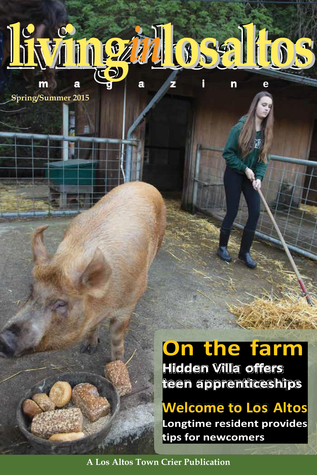

**Spring/Summer 2015**

## **On the farm**

**Hidden Villa offers teen apprenticeships**

**Welcome to Los Altos Longtime resident provides tips for newcomers**

**A Los Altos Town Crier Publication**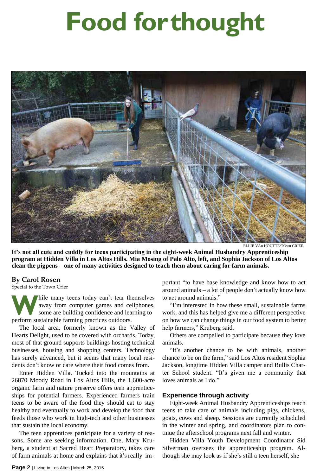# **Food forthought**



ELLIE VAn HOUTTE/TOwn CRIER

**It's not all cute and cuddly for teens participating in the eight-week Animal Husbandry Apprenticeship program at Hidden Villa in Los Altos Hills. Mia Mosing of Palo Alto, left, and Sophia Jackson of Los Altos clean the pigpens – one of many activities designed to teach them about caring for farm animals.**

#### **By Carol Rosen**

Special to the Town Crier

**W** aw so: hile many teens today can't tear themselves away from computer games and cellphones, some are building confidence and learning to perform sustainable farming practices outdoors.

The local area, formerly known as the Valley of Hearts Delight, used to be covered with orchards. Today, most of that ground supports buildings hosting technical businesses, housing and shopping centers. Technology has surely advanced, but it seems that many local residents don't know or care where their food comes from.

Enter Hidden Villa. Tucked into the mountains at 26870 Moody Road in Los Altos Hills, the 1,600-acre organic farm and nature preserve offers teen apprenticeships for potential farmers. Experienced farmers train teens to be aware of the food they should eat to stay healthy and eventually to work and develop the food that feeds those who work in high-tech and other businesses that sustain the local economy.

The teen apprentices participate for a variety of reasons. Some are seeking information. One, Mary Kruberg, a student at Sacred Heart Preparatory, takes care of farm animals at home and explains that it's really important "to have base knowledge and know how to act around animals – a lot of people don't actually know how to act around animals."

"I'm interested in how these small, sustainable farms work, and this has helped give me a different perspective on how we can change things in our food system to better help farmers," Kruberg said.

Others are compelled to participate because they love animals.

"It's another chance to be with animals, another chance to be on the farm," said Los Altos resident Sophia Jackson, longtime Hidden Villa camper and Bullis Charter School student. "It's given me a community that loves animals as I do."

#### **Experience through activity**

Eight-week Animal Husbandry Apprenticeships teach teens to take care of animals including pigs, chickens, goats, cows and sheep. Sessions are currently scheduled in the winter and spring, and coordinators plan to continue the afterschool programs next fall and winter.

Hidden Villa Youth Development Coordinator Sid Silverman oversees the apprenticeship program. Although she may look as if she's still a teen herself, she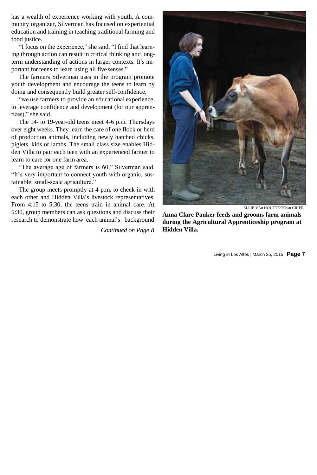has a wealth of experience working with youth. A community organizer, Silverman has focused on experiential education and training in teaching traditional farming and food justice.

"I focus on the experience," she said. "I find that learning through action can result in critical thinking and longterm understanding of actions in larger contexts. It's important for teens to learn using all five senses."

The farmers Silverman uses in the program promote youth development and encourage the teens to learn by doing and consequently build greater self-confidence.

"we use farmers to provide an educational experience, to leverage confidence and development (for our apprentices)," she said.

The 14- to 19-year-old teens meet 4-6 p.m. Thursdays over eight weeks. They learn the care of one flock or herd of production animals, including newly hatched chicks, piglets, kids or lambs. The small class size enables Hidden Villa to pair each teen with an experienced farmer to learn to care for one farm area.

"The average age of farmers is 60," Silverman said. "It's very important to connect youth with organic, sustainable, small-scale agriculture."

The group meets promptly at 4 p.m. to check in with each other and Hidden Villa's livestock representatives. From 4:15 to 5:30, the teens train in animal care. At 5:30, group members can ask questions and discuss their research to demonstrate how each animal's background

*Continued on Page 8*



ELLIE VAn HOUTTE/TOwn CRIER

**Anna Clare Pauker feeds and grooms farm animals during the Agricultural Apprenticeship program at Hidden Villa.**

Living in Los Altos | March 25, 2015 | **Page 7**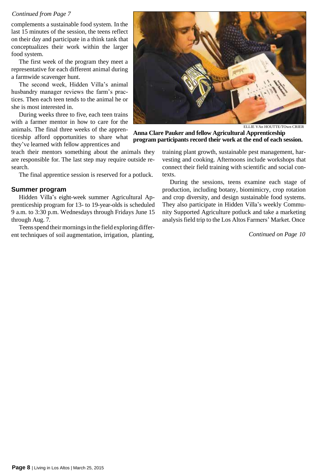#### *Continued from Page 7*

complements a sustainable food system. In the last 15 minutes of the session, the teens reflect on their day and participate in a think tank that conceptualizes their work within the larger food system.

The first week of the program they meet a representative for each different animal during a farmwide scavenger hunt.

The second week, Hidden Villa's animal husbandry manager reviews the farm's practices. Then each teen tends to the animal he or she is most interested in.

During weeks three to five, each teen trains with a farmer mentor in how to care for the animals. The final three weeks of the apprenticeship afford opportunities to share what they've learned with fellow apprentices and

teach their mentors something about the animals they are responsible for. The last step may require outside research.

The final apprentice session is reserved for a potluck.

#### **Summer program**

Hidden Villa's eight-week summer Agricultural Apprenticeship program for 13- to 19-year-olds is scheduled 9 a.m. to 3:30 p.m. Wednesdays through Fridays June 15 through Aug. 7.

Teens spend their mornings in the field exploring different techniques of soil augmentation, irrigation, planting,



ELLIE VAn HOUTTE/TOwn CRIER

**Anna Clare Pauker and fellow Agricultural Apprenticeship program participants record their work at the end of each session.**

training plant growth, sustainable pest management, harvesting and cooking. Afternoons include workshops that connect their field training with scientific and social contexts.

During the sessions, teens examine each stage of production, including botany, biomimicry, crop rotation and crop diversity, and design sustainable food systems. They also participate in Hidden Villa's weekly Community Supported Agriculture potluck and take a marketing analysisfield trip to the Los Altos Farmers' Market. Once

*Continued on Page 10*